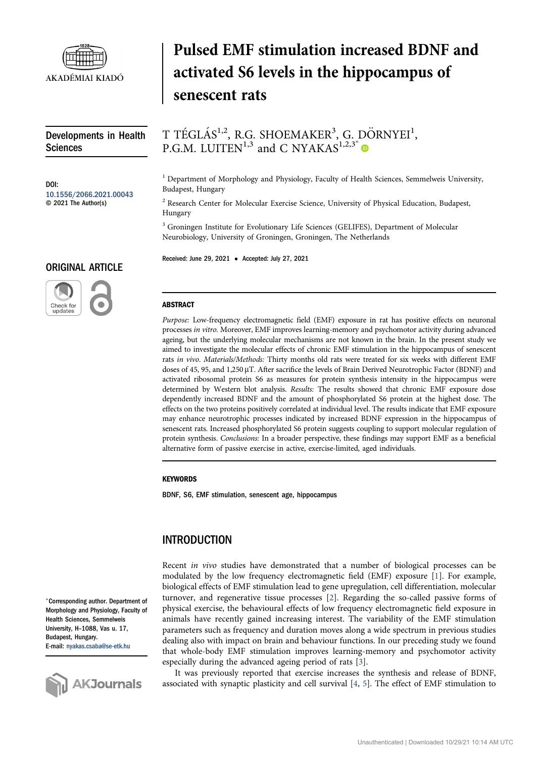

Developments in Health Sciences

DOI: [10.1556/2066.2021.00043](https://doi.org/10.1556/2066.2021.00043) © 2021 The Author(s)

## ORIGINAL ARTICLE



# Pulsed EMF stimulation increased BDNF and activated S6 levels in the hippocampus of senescent rats

T TÉGLÁS<sup>1,2</sup>, R.G. SHOEMAKER<sup>3</sup>, G. DÖRNYEI<sup>1</sup>, P.G.M. LUITEN<sup>1,3</sup> and C NYAKAS<sup>1,2,3\*</sup>

<sup>1</sup> Department of Morphology and Physiology, Faculty of Health Sciences, Semmelweis University, Budapest, Hungary

<sup>2</sup> Research Center for Molecular Exercise Science, University of Physical Education, Budapest, Hungary

<sup>3</sup> Groningen Institute for Evolutionary Life Sciences (GELIFES), Department of Molecular Neurobiology, University of Groningen, Groningen, The Netherlands

Received: June 29, 2021 • Accepted: July 27, 2021

#### **ABSTRACT**

Purpose: Low-frequency electromagnetic field (EMF) exposure in rat has positive effects on neuronal processes in vitro. Moreover, EMF improves learning-memory and psychomotor activity during advanced ageing, but the underlying molecular mechanisms are not known in the brain. In the present study we aimed to investigate the molecular effects of chronic EMF stimulation in the hippocampus of senescent rats in vivo. Materials/Methods: Thirty months old rats were treated for six weeks with different EMF doses of 45, 95, and 1,250 µT. After sacrifice the levels of Brain Derived Neurotrophic Factor (BDNF) and activated ribosomal protein S6 as measures for protein synthesis intensity in the hippocampus were determined by Western blot analysis. Results: The results showed that chronic EMF exposure dose dependently increased BDNF and the amount of phosphorylated S6 protein at the highest dose. The effects on the two proteins positively correlated at individual level. The results indicate that EMF exposure may enhance neurotrophic processes indicated by increased BDNF expression in the hippocampus of senescent rats. Increased phosphorylated S6 protein suggests coupling to support molecular regulation of protein synthesis. Conclusions: In a broader perspective, these findings may support EMF as a beneficial alternative form of passive exercise in active, exercise-limited, aged individuals.

#### **KEYWORDS**

BDNF, S6, EMF stimulation, senescent age, hippocampus

## INTRODUCTION

Recent in vivo studies have demonstrated that a number of biological processes can be modulated by the low frequency electromagnetic field (EMF) exposure [[1\]](#page-3-0). For example, biological effects of EMF stimulation lead to gene upregulation, cell differentiation, molecular turnover, and regenerative tissue processes [[2\]](#page-3-1). Regarding the so-called passive forms of physical exercise, the behavioural effects of low frequency electromagnetic field exposure in animals have recently gained increasing interest. The variability of the EMF stimulation parameters such as frequency and duration moves along a wide spectrum in previous studies dealing also with impact on brain and behaviour functions. In our preceding study we found that whole-body EMF stimulation improves learning-memory and psychomotor activity especially during the advanced ageing period of rats [\[3](#page-3-2)].

It was previously reported that exercise increases the synthesis and release of BDNF, associated with synaptic plasticity and cell survival [[4](#page-3-3), [5\]](#page-3-4). The effect of EMF stimulation to

\*Corresponding author. Department of Morphology and Physiology, Faculty of Health Sciences, Semmelweis University, H–1088, Vas u. 17, Budapest, Hungary. E-mail: [nyakas.csaba@se-etk.hu](mailto:nyakas.csaba@se-etk.hu)

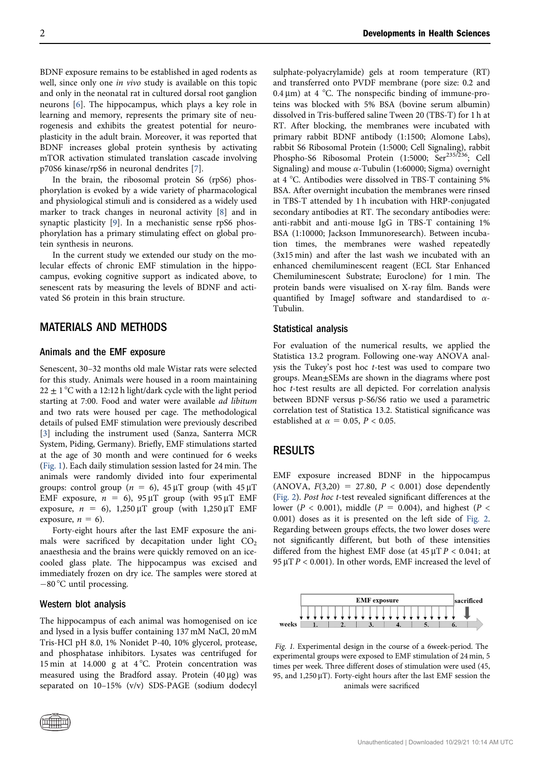BDNF exposure remains to be established in aged rodents as well, since only one in vivo study is available on this topic and only in the neonatal rat in cultured dorsal root ganglion neurons [\[6](#page-3-5)]. The hippocampus, which plays a key role in learning and memory, represents the primary site of neurogenesis and exhibits the greatest potential for neuroplasticity in the adult brain. Moreover, it was reported that BDNF increases global protein synthesis by activating mTOR activation stimulated translation cascade involving p70S6 kinase/rpS6 in neuronal dendrites [[7](#page-3-6)].

In the brain, the ribosomal protein S6 (rpS6) phosphorylation is evoked by a wide variety of pharmacological and physiological stimuli and is considered as a widely used marker to track changes in neuronal activity [\[8\]](#page-3-7) and in synaptic plasticity [\[9](#page-3-8)]. In a mechanistic sense rpS6 phosphorylation has a primary stimulating effect on global protein synthesis in neurons.

In the current study we extended our study on the molecular effects of chronic EMF stimulation in the hippocampus, evoking cognitive support as indicated above, to senescent rats by measuring the levels of BDNF and activated S6 protein in this brain structure.

## MATERIALS AND METHODS

#### Animals and the EMF exposure

Senescent, 30–32 months old male Wistar rats were selected for this study. Animals were housed in a room maintaining  $22 \pm 1$  °C with a 12:12 h light/dark cycle with the light period starting at 7:00. Food and water were available ad libitum and two rats were housed per cage. The methodological details of pulsed EMF stimulation were previously described [[3\]](#page-3-2) including the instrument used (Sanza, Santerra MCR System, Piding, Germany). Briefly, EMF stimulations started at the age of 30 month and were continued for 6 weeks ([Fig. 1](#page-1-0)). Each daily stimulation session lasted for 24 min. The animals were randomly divided into four experimental groups: control group ( $n = 6$ ), 45  $\mu$ T group (with 45  $\mu$ T EMF exposure,  $n = 6$ ), 95  $\mu$ T group (with 95  $\mu$ T EMF exposure,  $n = 6$ ), 1,250  $\mu$ T group (with 1,250  $\mu$ T EMF exposure,  $n = 6$ ).

Forty-eight hours after the last EMF exposure the animals were sacrificed by decapitation under light  $CO<sub>2</sub>$ anaesthesia and the brains were quickly removed on an icecooled glass plate. The hippocampus was excised and immediately frozen on dry ice. The samples were stored at  $-80$  °C until processing.

#### Western blot analysis

The hippocampus of each animal was homogenised on ice and lysed in a lysis buffer containing 137 mM NaCl, 20 mM Tris-HCl pH 8.0, 1% Nonidet P-40, 10% glycerol, protease, and phosphatase inhibitors. Lysates was centrifuged for 15 min at 14.000 g at  $4^{\circ}$ C. Protein concentration was measured using the Bradford assay. Protein  $(40 \mu g)$  was separated on 10–15% (v/v) SDS-PAGE (sodium dodecyl

sulphate-polyacrylamide) gels at room temperature (RT) and transferred onto PVDF membrane (pore size: 0.2 and 0.4  $\mu$ m) at 4 °C. The nonspecific binding of immune-proteins was blocked with 5% BSA (bovine serum albumin) dissolved in Tris-buffered saline Tween 20 (TBS-T) for 1 h at RT. After blocking, the membranes were incubated with primary rabbit BDNF antibody (1:1500; Alomone Labs), rabbit S6 Ribosomal Protein (1:5000; Cell Signaling), rabbit Phospho-S6 Ribosomal Protein (1:5000; Ser<sup>235/236</sup>; Cell Signaling) and mouse  $\alpha$ -Tubulin (1:60000; Sigma) overnight at 4  $\degree$ C. Antibodies were dissolved in TBS-T containing 5% BSA. After overnight incubation the membranes were rinsed in TBS-T attended by 1 h incubation with HRP-conjugated secondary antibodies at RT. The secondary antibodies were: anti-rabbit and anti-mouse IgG in TBS-T containing 1% BSA (1:10000; Jackson Immunoresearch). Between incubation times, the membranes were washed repeatedly (3x15 min) and after the last wash we incubated with an enhanced chemiluminescent reagent (ECL Star Enhanced Chemiluminescent Substrate; Euroclone) for 1 min. The protein bands were visualised on X-ray film. Bands were quantified by ImageJ software and standardised to  $\alpha$ -Tubulin.

### Statistical analysis

For evaluation of the numerical results, we applied the Statistica 13.2 program. Following one-way ANOVA analysis the Tukey's post hoc t-test was used to compare two groups. Mean±SEMs are shown in the diagrams where post hoc t-test results are all depicted. For correlation analysis between BDNF versus p-S6/S6 ratio we used a parametric correlation test of Statistica 13.2. Statistical significance was established at  $\alpha = 0.05$ ,  $P < 0.05$ .

## RESULTS

EMF exposure increased BDNF in the hippocampus (ANOVA,  $F(3,20) = 27.80, P < 0.001$ ) dose dependently ([Fig. 2\)](#page-2-0). Post hoc t-test revealed significant differences at the lower ( $P < 0.001$ ), middle ( $P = 0.004$ ), and highest ( $P <$ 0.001) doses as it is presented on the left side of [Fig. 2](#page-2-0). Regarding between groups effects, the two lower doses were not significantly different, but both of these intensities differed from the highest EMF dose (at  $45 \mu T P < 0.041$ ; at 95  $\mu$ T P < 0.001). In other words, EMF increased the level of

<span id="page-1-0"></span>

Fig. 1. Experimental design in the course of a 6week-period. The experimental groups were exposed to EMF stimulation of 24 min, 5 times per week. Three different doses of stimulation were used (45, 95, and  $1,250 \mu$ T). Forty-eight hours after the last EMF session the animals were sacrificed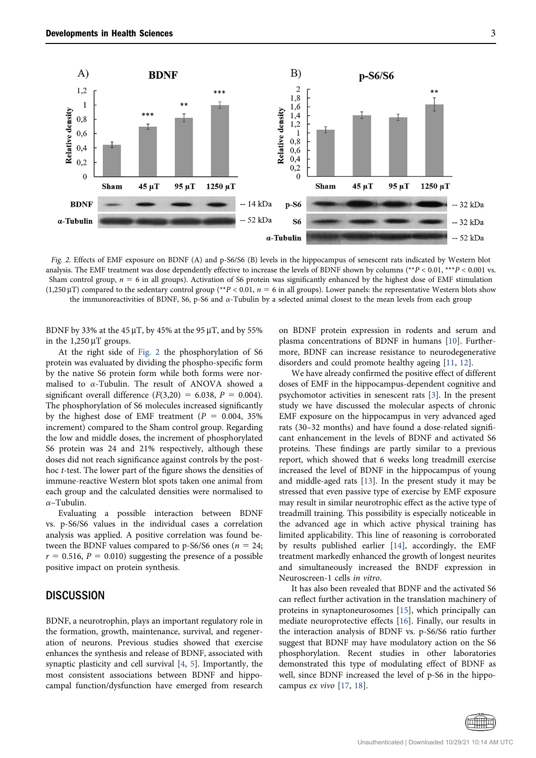<span id="page-2-0"></span>

Fig. 2. Effects of EMF exposure on BDNF (A) and p-S6/S6 (B) levels in the hippocampus of senescent rats indicated by Western blot analysis. The EMF treatment was dose dependently effective to increase the levels of BDNF shown by columns (\*\* $P < 0.01$ , \*\*\* $P < 0.001$  vs. Sham control group,  $n = 6$  in all groups). Activation of S6 protein was significantly enhanced by the highest dose of EMF stimulation (1,250  $\mu$ T) compared to the sedentary control group (\*\*P < 0.01, n = 6 in all groups). Lower panels: the representative Western blots show the immunoreactivities of BDNF, S6, p-S6 and  $\alpha$ -Tubulin by a selected animal closest to the mean levels from each group

BDNF by 33% at the 45  $\mu$ T, by 45% at the 95  $\mu$ T, and by 55% in the  $1,250 \mu$ T groups.

At the right side of [Fig. 2](#page-2-0) the phosphorylation of S6 protein was evaluated by dividing the phospho-specific form by the native S6 protein form while both forms were normalised to  $\alpha$ -Tubulin. The result of ANOVA showed a significant overall difference  $(F(3,20) = 6.038, P = 0.004)$ . The phosphorylation of S6 molecules increased significantly by the highest dose of EMF treatment ( $P = 0.004, 35\%$ ) increment) compared to the Sham control group. Regarding the low and middle doses, the increment of phosphorylated S6 protein was 24 and 21% respectively, although these doses did not reach significance against controls by the posthoc t-test. The lower part of the figure shows the densities of immune-reactive Western blot spots taken one animal from each group and the calculated densities were normalised to  $\alpha$ –Tubulin.

Evaluating a possible interaction between BDNF vs. p-S6/S6 values in the individual cases a correlation analysis was applied. A positive correlation was found between the BDNF values compared to p-S6/S6 ones ( $n = 24$ ;  $r = 0.516$ ,  $P = 0.010$ ) suggesting the presence of a possible positive impact on protein synthesis.

## **DISCUSSION**

BDNF, a neurotrophin, plays an important regulatory role in the formation, growth, maintenance, survival, and regeneration of neurons. Previous studies showed that exercise enhances the synthesis and release of BDNF, associated with synaptic plasticity and cell survival [[4](#page-3-3), [5](#page-3-4)]. Importantly, the most consistent associations between BDNF and hippocampal function/dysfunction have emerged from research on BDNF protein expression in rodents and serum and plasma concentrations of BDNF in humans [\[10\]](#page-3-9). Furthermore, BDNF can increase resistance to neurodegenerative disorders and could promote healthy ageing [[11](#page-3-10), [12](#page-3-11)].

We have already confirmed the positive effect of different doses of EMF in the hippocampus-dependent cognitive and psychomotor activities in senescent rats [\[3\]](#page-3-2). In the present study we have discussed the molecular aspects of chronic EMF exposure on the hippocampus in very advanced aged rats (30–32 months) and have found a dose-related significant enhancement in the levels of BDNF and activated S6 proteins. These findings are partly similar to a previous report, which showed that 6 weeks long treadmill exercise increased the level of BDNF in the hippocampus of young and middle-aged rats [\[13\]](#page-3-12). In the present study it may be stressed that even passive type of exercise by EMF exposure may result in similar neurotrophic effect as the active type of treadmill training. This possibility is especially noticeable in the advanced age in which active physical training has limited applicability. This line of reasoning is corroborated by results published earlier [[14\]](#page-3-13), accordingly, the EMF treatment markedly enhanced the growth of longest neurites and simultaneously increased the BNDF expression in Neuroscreen-1 cells in vitro.

It has also been revealed that BDNF and the activated S6 can reflect further activation in the translation machinery of proteins in synaptoneurosomes [[15\]](#page-3-14), which principally can mediate neuroprotective effects [[16](#page-3-15)]. Finally, our results in the interaction analysis of BDNF vs. p-S6/S6 ratio further suggest that BDNF may have modulatory action on the S6 phosphorylation. Recent studies in other laboratories demonstrated this type of modulating effect of BDNF as well, since BDNF increased the level of p-S6 in the hippocampus ex vivo [[17](#page-3-16), [18](#page-3-17)].